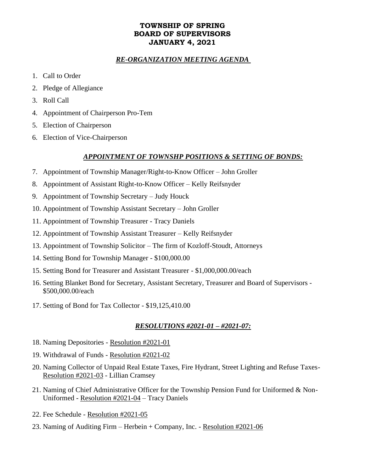# **TOWNSHIP OF SPRING BOARD OF SUPERVISORS JANUARY 4, 2021**

## *RE-ORGANIZATION MEETING AGENDA*

- 1. Call to Order
- 2. Pledge of Allegiance
- 3. Roll Call
- 4. Appointment of Chairperson Pro-Tem
- 5. Election of Chairperson
- 6. Election of Vice-Chairperson

## *APPOINTMENT OF TOWNSHP POSITIONS & SETTING OF BONDS:*

- 7. Appointment of Township Manager/Right-to-Know Officer John Groller
- 8. Appointment of Assistant Right-to-Know Officer Kelly Reifsnyder
- 9. Appointment of Township Secretary Judy Houck
- 10. Appointment of Township Assistant Secretary John Groller
- 11. Appointment of Township Treasurer Tracy Daniels
- 12. Appointment of Township Assistant Treasurer Kelly Reifsnyder
- 13. Appointment of Township Solicitor The firm of Kozloff-Stoudt, Attorneys
- 14. Setting Bond for Township Manager \$100,000.00
- 15. Setting Bond for Treasurer and Assistant Treasurer \$1,000,000.00/each
- 16. Setting Blanket Bond for Secretary, Assistant Secretary, Treasurer and Board of Supervisors \$500,000.00/each
- 17. Setting of Bond for Tax Collector \$19,125,410.00

### *RESOLUTIONS #2021-01 – #2021-07:*

- 18. Naming Depositories Resolution #2021-01
- 19. Withdrawal of Funds Resolution #2021-02
- 20. Naming Collector of Unpaid Real Estate Taxes, Fire Hydrant, Street Lighting and Refuse Taxes-Resolution #2021-03 - Lillian Cramsey
- 21. Naming of Chief Administrative Officer for the Township Pension Fund for Uniformed & Non-Uniformed - Resolution #2021-04 – Tracy Daniels
- 22. Fee Schedule Resolution #2021-05
- 23. Naming of Auditing Firm Herbein + Company, Inc. Resolution #2021-06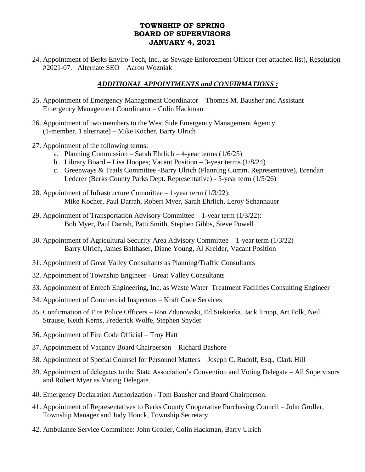## **TOWNSHIP OF SPRING BOARD OF SUPERVISORS JANUARY 4, 2021**

24. Appointment of Berks Enviro-Tech, Inc., as Sewage Enforcement Officer (per attached list), Resolution #2021-07. Alternate SEO – Aaron Wozniak

# *ADDITIONAL APPOINTMENTS and CONFIRMATIONS :*

- 25. Appointment of Emergency Management Coordinator Thomas M. Bausher and Assistant Emergency Management Coordinator – Colin Hackman
- 26. Appointment of two members to the West Side Emergency Management Agency (1-member, 1 alternate) – Mike Kocher, Barry Ulrich
- 27. Appointment of the following terms:
	- a. Planning Commission Sarah Ehrlich 4-year terms  $(1/6/25)$
	- b. Library Board Lisa Hoopes; Vacant Position 3-year terms  $(1/8/24)$
	- c. Greenways & Trails Committee -Barry Ulrich (Planning Comm. Representative), Brendan Lederer (Berks County Parks Dept. Representative) - 5-year term (1/5/26)
- 28. Appointment of Infrastructure Committee 1-year term (1/3/22): Mike Kocher, Paul Darrah, Robert Myer, Sarah Ehrlich, Leroy Schannauer
- 29. Appointment of Transportation Advisory Committee 1-year term (1/3/22): Bob Myer, Paul Darrah, Patti Smith, Stephen Gibbs, Steve Powell
- 30. Appointment of Agricultural Security Area Advisory Committee 1-year term (1/3/22) Barry Ulrich, James Balthaser, Diane Young, Al Kreider, Vacant Position
- 31. Appointment of Great Valley Consultants as Planning/Traffic Consultants
- 32. Appointment of Township Engineer Great Valley Consultants
- 33. Appointment of Entech Engineering, Inc. as Waste Water Treatment Facilities Consulting Engineer
- 34. Appointment of Commercial Inspectors Kraft Code Services
- 35. Confirmation of Fire Police Officers Ron Zdunowski, Ed Siekierka, Jack Trupp, Art Folk, Neil Strause, Keith Kerns, Frederick Wolfe, Stephen Snyder
- 36. Appointment of Fire Code Official Troy Hatt
- 37. Appointment of Vacancy Board Chairperson Richard Bashore
- 38. Appointment of Special Counsel for Personnel Matters Joseph C. Rudolf, Esq., Clark Hill
- 39. Appointment of delegates to the State Association's Convention and Voting Delegate All Supervisors and Robert Myer as Voting Delegate.
- 40. Emergency Declaration Authorization Tom Bausher and Board Chairperson.
- 41. Appointment of Representatives to Berks County Cooperative Purchasing Council John Groller, Township Manager and Judy Houck, Township Secretary
- 42. Ambulance Service Committee: John Groller, Colin Hackman, Barry Ulrich